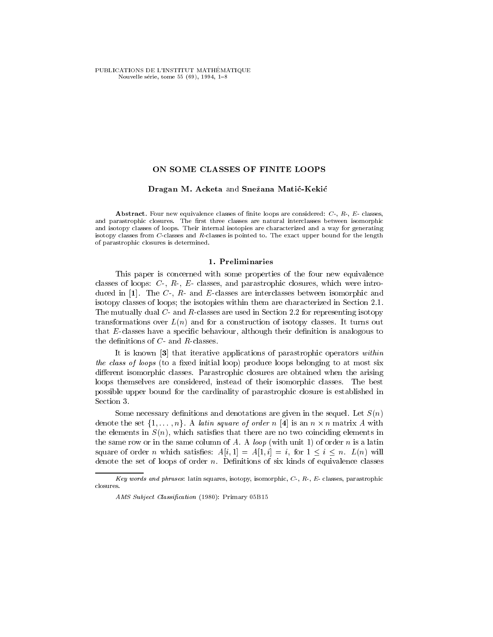PUBLICATIONS DE L'INSTITUT MATHÉMATIQUE Nouvelle série, tome 55 (69), 1994, 1-8

### ON SOME CLASSES OF FINITE LOOPS

### Dragan M. Acketa and Snezana Matic-Kekic

**Abstract**. Four new equivalence classes of finite loops are considered:  $C_1$ ,  $R_2$ ,  $E_1$  classes, and parastrophic closures. The first three classes are natural interclasses between isomorphic and isotopy classes of loops. Their internal isotopies are characterized and a way for generating isotopy classes from C-classes and R-classes is pointed to. The exact upper bound for the length of parastrophic closures is determined.

## 1. Preliminaries

This paper is concerned with some properties of the four new equivalence classes of loops:  $C$ -,  $R$ -,  $E$ - classes, and parastrophic closures, which were introduced in  $[1]$ . The  $C$ -,  $R$ - and  $E$ -classes are interclasses between isomorphic and isotopy classes of loops; the isotopies within them are characterized in Section 2.1. The mutually dual C- and R-classes are used in Section 2.2 for representing isotopy transformations over  $L(n)$  and for a construction of isotopy classes. It turns out that  $E$ -classes have a specific behaviour, although their definition is analogous to the definitions of  $C$ - and  $R$ -classes.

It is known [3] that iterative applications of parastrophic operators within the class of loops (to a fixed initial loop) produce loops belonging to at most six different isomorphic classes. Parastrophic closures are obtained when the arising loops themselves are considered, instead of their isomorphic classes. The best possible upper bound for the cardinality of parastrophic closure is established in Section 3.

Some necessary definitions and denotations are given in the sequel. Let  $S(n)$ denote the set  $\{1,\ldots,n\}$ . A *latin square of order n*  $|4|$  is an  $n \times n$  matrix A with the elements in  $S(n)$ , which satisfies that there are no two coinciding elements in the same row or in the same column of A. A *loop* (with unit 1) of order n is a latin square of order n which satisfies:  $A[i, 1] = A[1, i] = i$ , for  $1 \leq i \leq n$ .  $L(n)$  will denote the set of loops of order  $n$ . Definitions of six kinds of equivalence classes

Key words and phrases: latin squares, isotopy, isomorphic,  $C$ -,  $R$ -,  $E$ - classes, parastrophic closures.

AMS Subject Classification (1980): Primary 05B15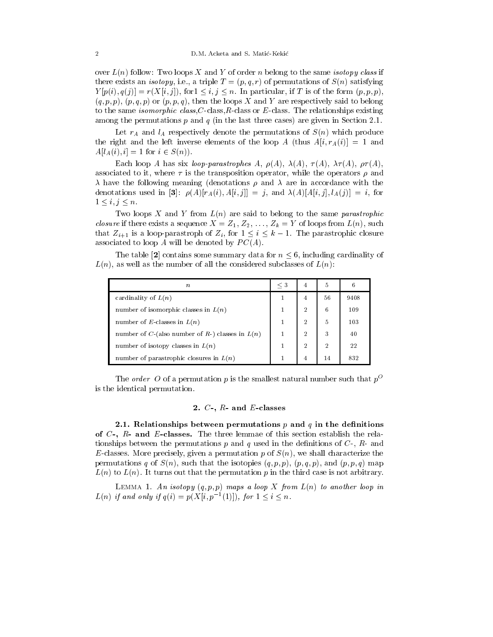over  $L(n)$  follow: Two loops X and Y of order n belong to the same isotopy class if there exists an *isotopy*, i.e., a triple  $T = (p, q, r)$  of permutations of  $S(n)$  satisfying  $Y[p(i), q(j)] = r(X[i, j])$ , for  $1 \leq i, j \leq n$ . In particular, if T is of the form  $(p, p, p)$ ,  $(q, p, p)$ ,  $(p, q, p)$  or  $(p, p, q)$ , then the loops X and Y are respectively said to belong to the same *isomorphic class,C*-class,R-class or  $E$ -class. The relationships existing among the permutations p and q (in the last three cases) are given in Section 2.1.

Let  $r_A$  and  $l_A$  respectively denote the permutations of  $S(n)$  which produce the right and the left inverse elements of the loop A (thus  $A[i, r_A(i)] = 1$  and  $A[l_A(i), i] = 1$  for  $i \in S(n)$ .

Each loop A has six loop-parastrophes A,  $\rho(A)$ ,  $\lambda(A)$ ,  $\tau(A)$ ,  $\lambda \tau(A)$ ,  $\rho \tau(A)$ , associated to it, where  $\tau$  is the transposition operator, while the operators  $\rho$  and  $\lambda$  have the following meaning (denotations  $\rho$  and  $\lambda$  are in accordance with the denotations used in [3]:  $\rho(A)[r_A(i), A[i, j]] = j$ , and  $\lambda(A)[A[i, j], l_A(j)] = i$ , for  $1 \leq i, j \leq n$ .<br>Two loops X and Y from  $L(n)$  are said to belong to the same *parastrophic* 

*closure* if there exists a sequence  $X = Z_1, Z_2, \ldots, Z_k = Y$  of loops from  $L(n)$ , such that  $Z_{i+1}$  is a loop-parastroph of  $Z_i$ , for  $1 \leq i \leq k-1$ . The parastrophic closure associated to loop  $A$  will be denoted by  $PC(A)$ .

The table [2] contains some summary data for  $n \leq 6$ , including cardinality of  $L(n)$ , as well as the number of all the considered subclasses of  $L(n)$ :

| $\boldsymbol{n}$                                  | $\leq 3$ | 4              | 5              | 6    |
|---------------------------------------------------|----------|----------------|----------------|------|
| cardinality of $L(n)$                             |          | 4              | 56             | 9408 |
| number of isomorphic classes in $L(n)$            |          | $\overline{2}$ | 6              | 109  |
| number of E-classes in $L(n)$                     |          | $\overline{2}$ | 5              | 103  |
| number of C-(also number of R-) classes in $L(n)$ |          | $\overline{2}$ | 3              | 40   |
| number of isotopy classes in $L(n)$               |          | $\overline{2}$ | $\overline{2}$ | 22   |
| number of parastrophic closures in $L(n)$         |          | 4              | 14             | 832  |

The order O of a permutation p is the smallest natural number such that  $p^O$ is the identical permutation.

# 2. C-, R- and E-classes

2.1. Relationships between permutations  $p$  and  $q$  in the definitions of C-, R- and E-classes. The three lemmae of this section establish the relationships between the permutations p and q used in the definitions of  $C$ -,  $R$ - and E-classes. More precisely, given a permutation p of  $S(n)$ , we shall characterize the permutations q of  $S(n)$ , such that the isotopies  $(q, p, p)$ ,  $(p, q, p)$ , and  $(p, p, q)$  map  $L(n)$  to  $L(n)$ . It turns out that the permutation p in the third case is not arbitrary.

LEMMA 1. An isotopy  $(q, p, p)$  maps a loop X from  $L(n)$  to another loop in  $L(n)$  if and only if  $q(i) = p(A|i, p^{-1}(1))$ , for  $1 \leq i \leq n$ .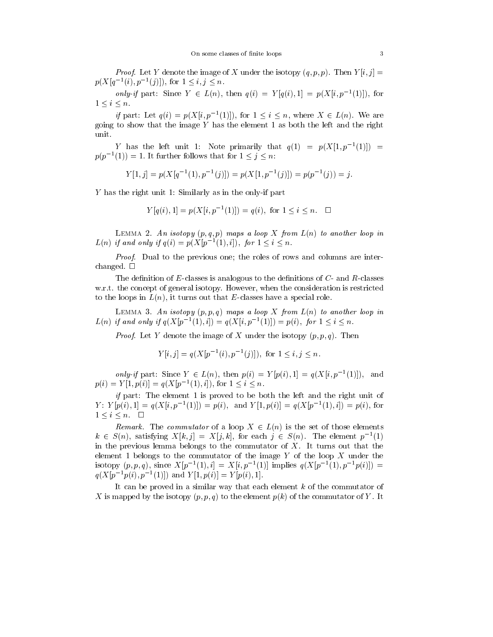*Proof.* Let Y denote the image of X under the isotopy  $(q, p, p)$ . Then  $Y[i, j] =$  $p(\Lambda | q^{-1}(i), p^{-1}(j))$ , for  $1 \leq i, j \leq n$ .

only-if part: Since  $Y \in L(n)$ , then  $q(i) = Y | q(i), 1 | = p(X|i, p^{-1}(1))$ , for  $1 \leq i \leq n$ .

if part: Let  $q(i) = p(\Lambda | i, p^{-1}(1))$ , for  $1 \leq i \leq n$ , where  $\Lambda \in L(n)$ . We are going to show that the image Y has the element 1 as both the left and the right unit.

Y has the left unit 1: Note primarily that  $q(1) = p(A|1, p^{-1}(1)) =$  $p(p^{-1}(1)) = 1$ . It further follows that for  $1 \leq j \leq n$ :

$$
Y[1,j] = p(X[q^{-1}(1), p^{-1}(j)]) = p(X[1, p^{-1}(j)]) = p(p^{-1}(j)) = j.
$$

Y has the right unit 1: Similarly as in the only-if part

$$
Y[q(i), 1] = p(X[i, p^{-1}(1)]) = q(i), \text{ for } 1 \le i \le n. \quad \Box
$$

LEMMA 2. An isotopy  $(p, q, p)$  maps a loop X from  $L(n)$  to another loop in  $L(n)$  if and only if  $q(i) = p(\Lambda | p^{-1}(1), i)$ , for  $1 \leq i \leq n$ .

Proof. Dual to the previous one; the roles of rows and columns are interchanged.  $\square$ 

The definition of  $E$ -classes is analogous to the definitions of  $C$ - and  $R$ -classes w.r.t. the concept of general isotopy. However, when the consideration is restricted to the loops in  $L(n)$ , it turns out that E-classes have a special role.

LEMMA 3. An isotopy  $(p, p, q)$  maps a loop X from  $L(n)$  to another loop in  $L(n)$  if and only if  $q(X|p^{-1}(1), i) = q(X|i, p^{-1}(1)) = p(i)$ , for  $1 \leq i \leq n$ .

*Proof.* Let Y denote the image of X under the isotopy  $(p, p, q)$ . Then

$$
Y[i,j] = q(X[p^{-1}(i), p^{-1}(j)]), \text{ for } 1 \le i, j \le n.
$$

only-if part: Since  $Y \in L(n)$ , then  $p(i) = Y | p(i), 1 | = q(X|i, p^{-1}(1))$ , and  $p(i) = Y | 1, p(i) | = q(\Lambda | p^{-1}(1), i)$ , for  $1 \leq i \leq n$ .

*if* part: The element 1 is proved to be both the left and the right unit of  $Y: Y | p(i), 1 | = q(\Lambda | i, p^{-1}(1)) = p(i),$  and  $Y | 1, p(i) | = q(\Lambda | p^{-1}(1), i) = p(i),$  for  $1 \leq i \leq n$ .  $\Box$ 

Remark. The commutator of a loop  $X \in L(n)$  is the set of those elements  $k \in S(n)$ , satisfying  $X[k, j] = X[j, k]$ , for each  $j \in S(n)$ . The element p<sup>-</sup>(1) in the previous lemma belongs to the commutator of  $X$ . It turns out that the element 1 belongs to the commutator of the image  $Y$  of the loop  $X$  under the isotopy  $(p, p, q)$ , since  $X|p^{-1}(1), i| = X|i, p^{-1}(1)|$  implies  $q(X|p^{-1}(1), p^{-1}p(i)|) =$  $q(\Lambda | p^{-1}p(i), p^{-1}(1))$  and  $Y(1, p(i)) = Y(1, p(i), 1).$ 

It can be proved in a similar way that each element  $k$  of the commutator of X is mapped by the isotopy  $(p, p, q)$  to the element  $p(k)$  of the commutator of Y. It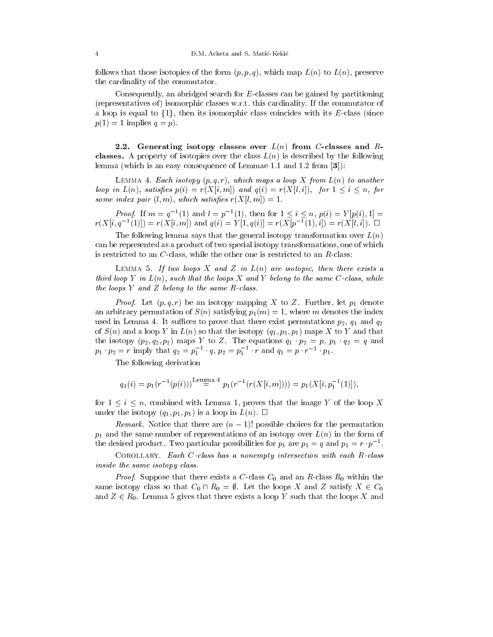follows that those isotopies of the form  $(p, p, q)$ , which map  $L(n)$  to  $L(n)$ , preserve the cardinality of the commutator.

Consequently, an abridged search for E-classes can be gained by partitioning (representatives of ) isomorphic classes w.r.t. this cardinality. If the commutator of a loop is equal to  $\{1\}$ , then its isomorphic class coincides with its E-class (since  $p(1) = 1$  implies  $q = p$ ).

2.2. Generating isotopy classes over  $L(n)$  from C-classes and Rclasses. A property of isotopies over the class  $L(n)$  is described by the following lemma (which is an easy consequence of Lemmae 1.1 and 1.2 from [3]):

LEMMA 4. Each isotopy  $(p, q, r)$ , which maps a loop X from  $L(n)$  to another loop in  $L(n)$ , satisfies  $p(i) = r(X[i, m])$  and  $q(i) = r(X[i, i])$ , for  $1 \le i \le n$ , for some index pair  $(l, m)$ , which satisfies  $r(X[l, m]) = 1$ .

*Proof.* If  $m = q^{-1}(1)$  and  $l = p^{-1}(1)$ , then for  $1 \leq i \leq n$ ,  $p(i) = Y(p(i), 1) =$  $r(X[i, q^{-1}(1)]) = r(X[i, m])$  and  $q(i) = Y[1, q(i)] = r(X[p^{-1}(1), i]) = r(X[i, i])$ .

The following lemma says that the general isotopy transformation over  $L(n)$ can be represented as a product of two special isotopy transformations, one of which is restricted to an  $C$ -class, while the other one is restricted to an  $R$ -class:

LEMMA 5. If two loops X and Z in  $L(n)$  are isotopic, then there exists a third loop Y in  $L(n)$ , such that the loops X and Y belong to the same C-class, while the loops  $Y$  and  $Z$  belong to the same  $R$ -class.

*Proof.* Let  $(p, q, r)$  be an isotopy mapping X to Z. Further, let  $p_1$  denote an arbitrary permutation of  $S(n)$  satisfying  $p_1(m) = 1$ , where m denotes the index used in Lemma 4. It suffices to prove that there exist permutations  $p_2$ ,  $q_1$  and  $q_2$ of  $S(n)$  and a loop Y in  $L(n)$  so that the isotopy  $(q_1, p_1, p_1)$  maps X to Y and that the isotopy  $(p_2, q_2, p_2)$  maps Y to Z. The equations  $q_1 \cdot p_2 = p$ ,  $p_1 \cdot q_2 = q$  and  $p_1 \cdot p_2 = r \text{ imply that } q_2 = p_1 \cdot q, p_2 = p_1 \cdot r \text{ and } q_1 = p \cdot r \cdot p_1.$ 

The following derivation

$$
q_1(i) = p_1(r^{-1}(p(i)))^{\text{Lemma 4}} p_1(r^{-1}(r(X[i,m]))) = p_1(X[i, p_1^{-1}(1)]),
$$

for  $1 \le i \le n$ , combined with Lemma 1, proves that the image Y of the loop X under the isotopy  $(q_1, p_1, p_1)$  is a loop in  $L(n)$ .  $\Box$ 

Remark. Notice that there are  $(n - 1)!$  possible choices for the permutation  $p_1$  and the same number of representations of an isotopy over  $L(n)$  in the form of the desired product. Two particular possibilities for  $p_1$  are  $p_1 = q$  and  $p_1 = r$  ,  $p$ 

COROLLARY. Each C-class has a nonempty intersection with each R-class inside the same isotopy class.

*Proof.* Suppose that there exists a C-class  $C_0$  and an R-class  $R_0$  within the same isotopy class so that  $C_0 \cap R_0 = \emptyset$ . Let the loops X and Z satisfy  $X \in C_0$ and  $Z \in R_0$ . Lemma 5 gives that there exists a loop Y such that the loops X and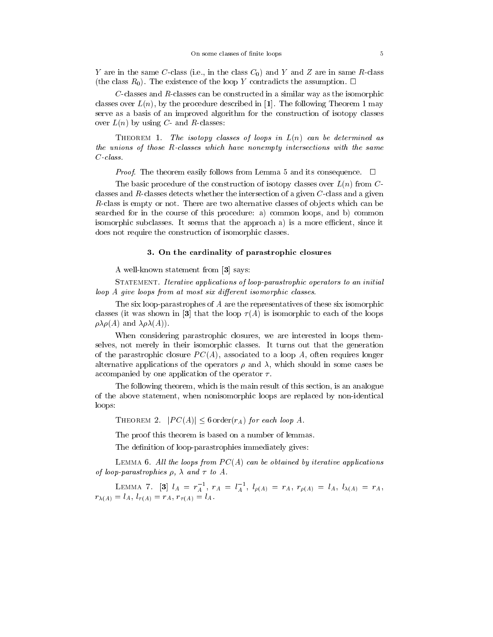Y are in the same C-class (i.e., in the class  $C_0$ ) and Y and Z are in same R-class (the class  $R_0$ ). The existence of the loop Y contradicts the assumption.  $\Box$ 

 $C$ -classes and  $R$ -classes can be constructed in a similar way as the isomorphic classes over  $L(n)$ , by the procedure described in [1]. The following Theorem 1 may serve as a basis of an improved algorithm for the construction of isotopy classes over  $L(n)$  by using C- and R-classes:

THEOREM 1. The isotopy classes of loops in  $L(n)$  can be determined as the unions of those R-classes which have nonempty intersections with the same C-class.

*Proof.* The theorem easily follows from Lemma 5 and its consequence.  $\Box$ 

The basic procedure of the construction of isotopy classes over  $L(n)$  from  $C$ classes and  $R$ -classes detects whether the intersection of a given  $C$ -class and a given  $R$ -class is empty or not. There are two alternative classes of objects which can be searched for in the course of this procedure: a) common loops, and b) common isomorphic subclasses. It seems that the approach a) is a more efficient, since it does not require the construction of isomorphic classes.

### 3. On the cardinality of parastrophic closures

A well-known statement from [3] says:

Statement. Iterative applications of loop-parastrophic operators to an initial  $loop\ A\ give\ loops\ from\ at\ most\ six\ different\ isomorphic\ classes.$ 

The six loop-parastrophes of A are the representatives of these six isomorphic classes (it was shown in [3] that the loop  $\tau(A)$  is isomorphic to each of the loops  $\rho \lambda \rho(A)$  and  $\lambda \rho \lambda(A)$ ).

When considering parastrophic closures, we are interested in loops themselves, not merely in their isomorphic classes. It turns out that the generation of the parastrophic closure  $PC(A)$ , associated to a loop A, often requires longer alternative applications of the operators  $\rho$  and  $\lambda$ , which should in some cases be accompanied by one application of the operator  $\tau$ .

The following theorem, which is the main result of this section, is an analogue of the above statement, when nonisomorphic loops are replaced by non-identical loops:

THEOREM 2.  $|PC(A)| \leq 6$  order $(r_A)$  for each loop A.

The proof this theorem is based on a number of lemmas.

The definition of loop-parastrophies immediately gives:

LEMMA 6. All the loops from  $PC(A)$  can be obtained by iterative applications of loop-parastrophies  $\rho$ ,  $\lambda$  and  $\tau$  to  $A$ .

LEMMA 7. [3]  $l_A = r_A^-$ ,  $r_A = l_A^-$ ,  $l_{\rho(A)} = r_A$ ,  $r_{\rho(A)} = l_A$ ,  $l_{\lambda(A)} = r_A$ , r(A) <sup>=</sup> lA, l (A) <sup>=</sup> rA, r (A) <sup>=</sup> lA.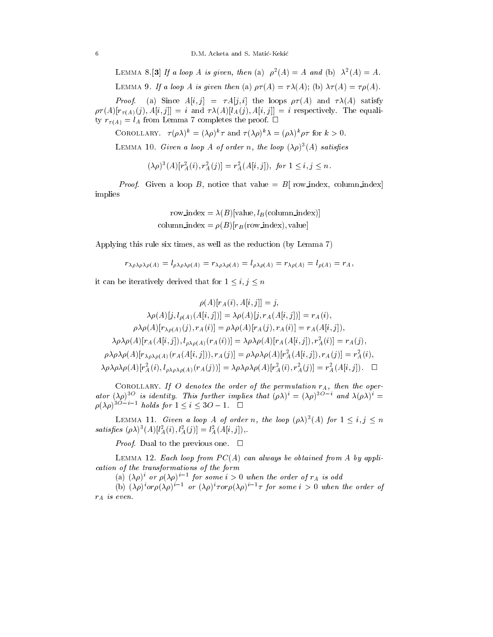6 D.M. Acketa and S. Matic-Kekic

LEMMA  $\circ$   $\circ$  | If a loop A is given, then (a)  $\rho^{-}(A) = A$  and (b)  $\Lambda^{-}(A) = A$ .

LEMMA 9. If a loop A is given then (a)  $\rho \tau(A) = \tau \lambda(A)$ ; (b)  $\lambda \tau(A) = \tau \rho(A)$ .

*Proof.* (a) Since  $A[i, j] = \tau A[j, i]$  the loops  $\rho \tau(A)$  and  $\tau \lambda(A)$  satisfy  $p\tau(A)[r_{\tau(A)}(j), A[i, j]] = i$  and  $\tau\lambda(A)[l_A(j), A[i, j]] = i$  respectively. The equality  $r_{\tau(A)} = l_A$  from Lemma 7 completes the proof.  $\Box$ 

COROLLARY.  $\tau(\rho \lambda)^k = (\lambda \rho)^k \tau$  and  $\tau(\lambda \rho)^k \lambda = (\rho \lambda)^k \rho \tau$  for  $k > 0$ .

LEMMA 10. Given a loop A of order n, the loop  $(\lambda \rho)^{2}(A)$  satisfies

 $(\lambda \rho)^{-}(A)[r_{A}^{T}(i), r_{A}^{T}(j)] = r_{A}^{T}(A[i,j]),$  for  $1 \leq i, j \leq n$ .

*Proof.* Given a loop B, notice that value =  $B$ [ row\_index, column\_index] implies

row\_index = 
$$
\lambda(B)
$$
[value,  $l_B$ (column\_index)]  
column\_index =  $\rho(B)$ [r<sub>B</sub>(row\_index), value]

Applying this rule six times, as well as the reduction (by Lemma 7)

$$
r_{\lambda\rho\lambda\rho\lambda\rho(A)}=l_{\rho\lambda\rho\lambda\rho(A)}=r_{\lambda\rho\lambda\rho(A)}=l_{\rho\lambda\rho(A)}=r_{\lambda\rho(A)}=l_{\rho(A)}=r_A,
$$

it can be iteratively derived that for  $1 \leq i, j \leq n$ 

$$
\rho(A)[r_A(i), A[i,j]] = j,
$$
  
\n
$$
\lambda \rho(A)[j, l_{\rho(A)}(A[i,j])] = \lambda \rho(A)[j, r_A(A[i,j])] = r_A(i),
$$
  
\n
$$
\rho \lambda \rho(A)[r_{\lambda \rho(A)}(j), r_A(i)] = \rho \lambda \rho(A)[r_A(j), r_A(i)] = r_A(A[i,j]),
$$
  
\n
$$
\lambda \rho \lambda \rho(A)[r_A(A[i,j]), l_{\rho \lambda \rho(A)}(r_A(i))] = \lambda \rho \lambda \rho(A)[r_A(A[i,j]), r_A^2(i)] = r_A(j),
$$
  
\n
$$
\rho \lambda \rho \lambda \rho(A)[r_{\lambda \rho \lambda \rho(A)}(r_A(A[i,j])), r_A(j)] = \rho \lambda \rho \lambda \rho(A)[r_A^2(A[i,j]), r_A(j)] = r_A^2(i),
$$
  
\n
$$
\lambda \rho \lambda \rho \lambda \rho(A)[r_A^2(i), l_{\rho \lambda \rho \lambda \rho(A)}(r_A(j))] = \lambda \rho \lambda \rho \rho(A)[r_A^2(i), r_A^2(j)] = r_A^2(A[i,j]).
$$

COROLLARY. If O denotes the order of the permutation  $r_A$ , then the operator  $(\lambda \rho)^{\infty}$  is identity. This further implies that  $(\rho \lambda)^{i} = (\lambda \rho)^{\infty}$  and  $\lambda (\rho \lambda)^{i} =$ <br> $\rho (\lambda \rho)^{3O-i-1}$  holds for  $1 \leq i \leq 3O-1$ .

LEMMA 11. Given a loop A of order n, the loop  $(\rho \lambda)^{3}(A)$  for  $1 \leq i, j \leq n$ satisfies  $(\rho \wedge)^{-}$   $(A)[i_{A}^{-}(i), i_{A}^{-}(j)] = i_{A}^{-}(A[i, j]),$ 

*Proof.* Dual to the previous one.  $\Box$ 

LEMMA 12. Each loop from  $PC(A)$  can always be obtained from A by application of the transformations of the form

(a)  $(\lambda \rho)^{\epsilon}$  or  $\rho(\lambda \rho)^{\epsilon}$  if or some  $i > 0$  when the order of  $r_A$  is odd

(b)  $(\lambda \rho)^{\circ}$  or  $\rho(\lambda \rho)^{\circ}$  or  $(\lambda \rho)^{\circ}$   $\tau$  or  $\rho(\lambda \rho)^{\circ}$   $\tau$  for some  $\imath > 0$  when the order of  $r_A$  is even.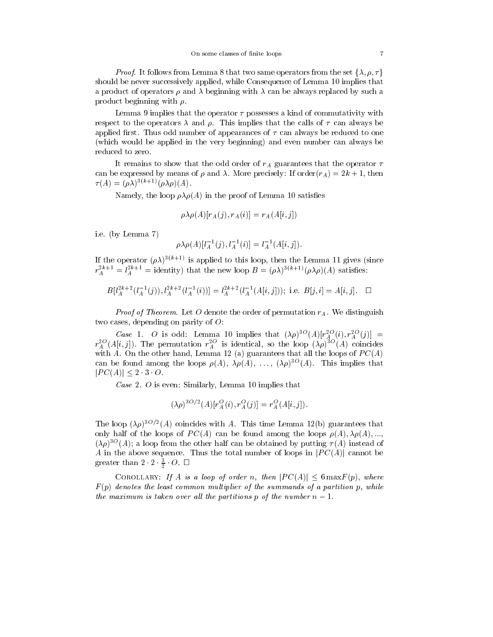*Proof.* It follows from Lemma 8 that two same operators from the set  $\{\lambda, \rho, \tau\}$ should be never successively applied, while Consequence of Lemma 10 implies that a product of operators  $\rho$  and  $\lambda$  beginning with  $\lambda$  can be always replaced by such a product beginning with  $\rho$ .

Lemma 9 implies that the operator  $\tau$  possesses a kind of commutativity with respect to the operators  $\lambda$  and  $\rho$ . This implies that the calls of  $\tau$  can always be applied first. Thus odd number of appearances of  $\tau$  can always be reduced to one (which would be applied in the very beginning) and even number can always be reduced to zero.

It remains to show that the odd order of  $r_A$  guarantees that the operator  $\tau$ can be expressed by means of  $\rho$  and  $\lambda$ . More precisely: If order $(r_A)=2k + 1$ , then  $\tau(A)=(\rho\lambda)^{3(k+1)}(\rho\lambda\rho)(A).$ 

Namely, the loop  $\rho \lambda \rho(A)$  in the proof of Lemma 10 satisfies

$$
\rho \lambda \rho(A)[r_A(j), r_A(i)] = r_A(A[i, j])
$$

i.e. (by Lemma 7)

$$
\rho \lambda \rho(A)[l_A^{-1}(j), l_A^{-1}(i)] = l_A^{-1}(A[i,j]).
$$

If the operator  $(\rho\lambda)^{3(k+1)}$  is applied to this loop, then the Lemma 11 gives (since  $r_A^{2+1} = i_A^{2+1} =$  identity) that the new loop  $B = (\rho \lambda)^{-(\alpha+1)} (\rho \lambda \rho)(A)$  satisfies:

$$
B[l_A^{2k+2}(l_A^{-1}(j)), l_A^{2k+2}(l_A^{-1}(i))] = l_A^{2k+2}(l_A^{-1}(A[i,j])), \text{ i.e. } B[j,i] = A[i,j]. \quad \Box
$$

*Proof of Theorem.* Let O denote the order of permutation  $r_A$ . We distinguish two cases, depending on parity of  $\ddot{o}$ :

Case 1. O is odd: Lemma 10 implies that  $(\lambda \rho)^{-1}(A)[r_A^{-1}(t), r_A^{-1}(t)] =$  $A \cup J$  $r_A$  (A[i, J]). The permutation  $r_A$  is identical, so the loop ( $\lambda \rho$ ) (A) coincides with A. On the other hand, Lemma 12 (a) guarantees that all the loops of  $PC(A)$ can be found among the loops  $\rho(A)$ ,  $\Delta \rho(A)$ , ...,  $(\Delta \rho)$  = (A). This implies that with A. On the other had<br>can be found among the  $|PC(A)| \leq 2 \cdot 3 \cdot O$ .

Case 2. O is even: Similarly, Lemma 10 implies that

$$
(\lambda \rho)^{3O/2}(A)[r_A^O(i), r_A^O(j)] = r_A^O(A[i,j]).
$$

The loop  $(\lambda \rho)$  -  $(A)$  coincides with A. This time Lemma 12(b) guarantees that only half of the loops of  $PC(A)$  can be found among the loops  $\rho(A), \lambda \rho(A), ...$  $(\lambda \rho)$  = (A); a loop from the other half can be obtained by putting  $\tau(A)$  instead of A in the above sequence. Thus the total number of loops in  $|PC(A)|$  cannot be greater than  $2 \leq 2 \leq U$ .  $\Box$ 

COROLLARY: If A is a loop of order n, then  $|PC(A)| \leq 6 \max F(p)$ , where  $F(p)$  denotes the least common multiplier of the summands of a partition p, while the maximum is taken over all the partitions p of the number  $n-1$ .